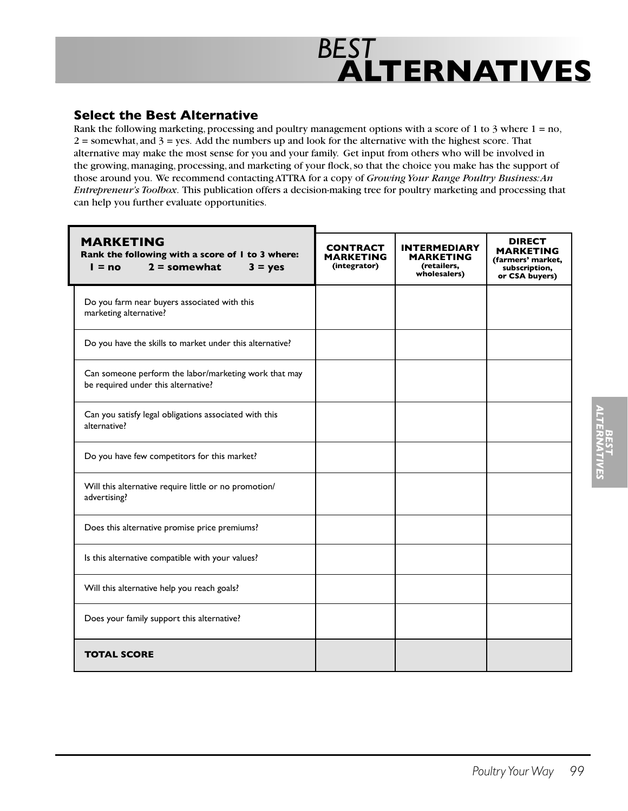

#### **Select the Best Alternative**

Rank the following marketing, processing and poultry management options with a score of 1 to 3 where 1 = no,  $2 =$  somewhat, and  $3 =$  yes. Add the numbers up and look for the alternative with the highest score. That alternative may make the most sense for you and your family. Get input from others who will be involved in the growing, managing, processing, and marketing of your flock, so that the choice you make has the support of those around you. We recommend contacting ATTRA for a copy of *Growing Your Range Poultry Business: An Entrepreneur's Toolbox*. This publication offers a decision-making tree for poultry marketing and processing that can help you further evaluate opportunities.

| <b>MARKETING</b><br>Rank the following with a score of I to 3 where:<br>$2 =$ somewhat<br>$l = no$<br>$3 = yes$ | <b>CONTRACT</b><br><b>MARKETING</b><br>(integrator) | <b>INTERMEDIARY</b><br>MARKETING<br>(retailers,<br>wholesalers) | DIRECT<br>MARKETING<br>(farmers' market,<br>subscription,<br>or CSA buyers) |
|-----------------------------------------------------------------------------------------------------------------|-----------------------------------------------------|-----------------------------------------------------------------|-----------------------------------------------------------------------------|
| Do you farm near buyers associated with this<br>marketing alternative?                                          |                                                     |                                                                 |                                                                             |
| Do you have the skills to market under this alternative?                                                        |                                                     |                                                                 |                                                                             |
| Can someone perform the labor/marketing work that may<br>be required under this alternative?                    |                                                     |                                                                 |                                                                             |
| Can you satisfy legal obligations associated with this<br>alternative?                                          |                                                     |                                                                 |                                                                             |
| Do you have few competitors for this market?                                                                    |                                                     |                                                                 |                                                                             |
| Will this alternative require little or no promotion/<br>advertising?                                           |                                                     |                                                                 |                                                                             |
| Does this alternative promise price premiums?                                                                   |                                                     |                                                                 |                                                                             |
| Is this alternative compatible with your values?                                                                |                                                     |                                                                 |                                                                             |
| Will this alternative help you reach goals?                                                                     |                                                     |                                                                 |                                                                             |
| Does your family support this alternative?                                                                      |                                                     |                                                                 |                                                                             |
| <b>TOTAL SCORE</b>                                                                                              |                                                     |                                                                 |                                                                             |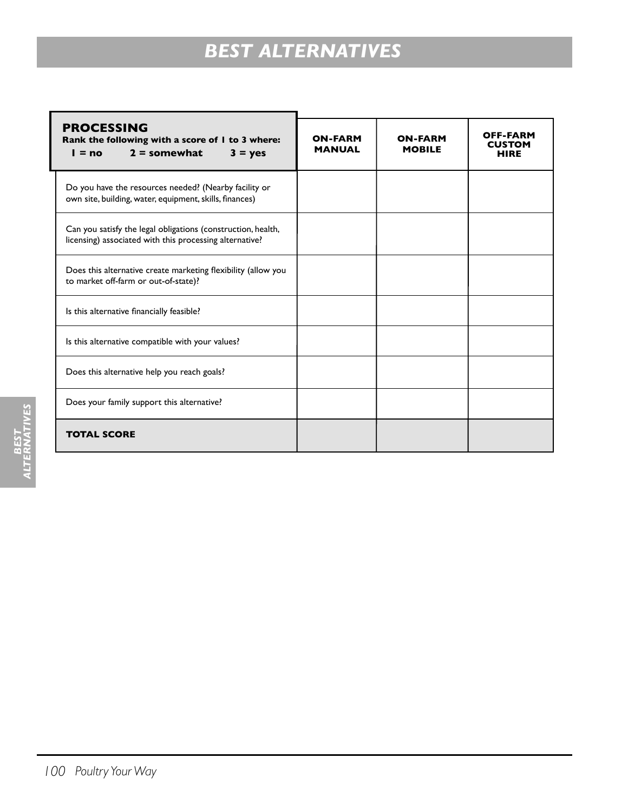# *BEST ALTERNATIVES*

| <b>PROCESSING</b><br>Rank the following with a score of I to 3 where:<br>$l = no$ 2 = somewhat<br>$3 = yes$             | <b>ON-FARM</b><br><b>MANUAL</b> | <b>ON-FARM</b><br><b>MOBILE</b> | OFF-FARM<br><b>CUSTOM</b><br><b>HIRE</b> |  |  |
|-------------------------------------------------------------------------------------------------------------------------|---------------------------------|---------------------------------|------------------------------------------|--|--|
| Do you have the resources needed? (Nearby facility or<br>own site, building, water, equipment, skills, finances)        |                                 |                                 |                                          |  |  |
| Can you satisfy the legal obligations (construction, health,<br>licensing) associated with this processing alternative? |                                 |                                 |                                          |  |  |
| Does this alternative create marketing flexibility (allow you<br>to market off-farm or out-of-state)?                   |                                 |                                 |                                          |  |  |
| Is this alternative financially feasible?                                                                               |                                 |                                 |                                          |  |  |
| Is this alternative compatible with your values?                                                                        |                                 |                                 |                                          |  |  |
| Does this alternative help you reach goals?                                                                             |                                 |                                 |                                          |  |  |
| Does your family support this alternative?                                                                              |                                 |                                 |                                          |  |  |
| <b>TOTAL SCORE</b>                                                                                                      |                                 |                                 |                                          |  |  |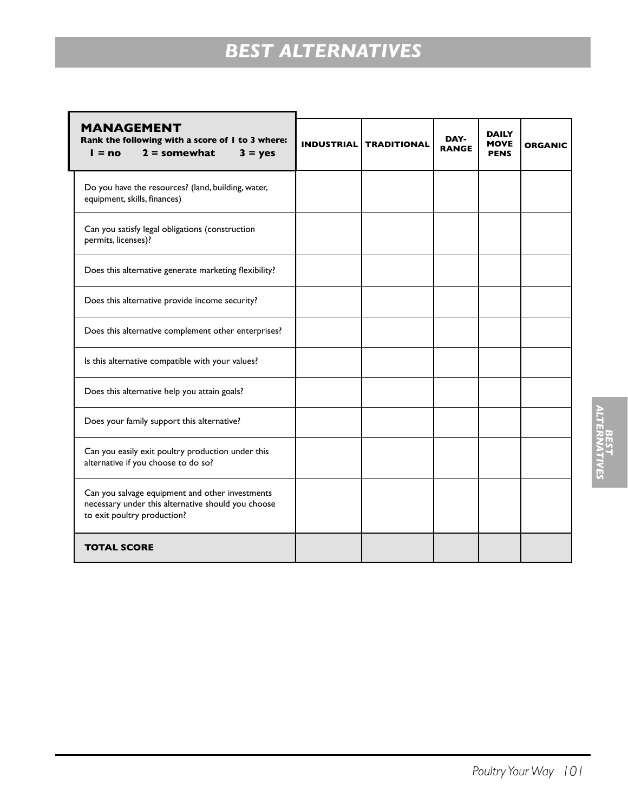# *BEST ALTERNATIVES*

| <b>MANAGEMENT</b><br>Rank the following with a score of I to 3 where:<br>$2 =$ somewhat<br>$I = no$<br>$3 = yes$                     | <b>INDUSTRIAL</b> | <b>TRADITIONAL</b> | DAY-<br><b>RANGE</b> | <b>DAILY</b><br><b>MOVE</b><br><b>PENS</b> | <b>ORGANIC</b> |
|--------------------------------------------------------------------------------------------------------------------------------------|-------------------|--------------------|----------------------|--------------------------------------------|----------------|
| Do you have the resources? (land, building, water,<br>equipment, skills, finances)                                                   |                   |                    |                      |                                            |                |
| Can you satisfy legal obligations (construction<br>permits, licenses)?                                                               |                   |                    |                      |                                            |                |
| Does this alternative generate marketing flexibility?                                                                                |                   |                    |                      |                                            |                |
| Does this alternative provide income security?                                                                                       |                   |                    |                      |                                            |                |
| Does this alternative complement other enterprises?                                                                                  |                   |                    |                      |                                            |                |
| Is this alternative compatible with your values?                                                                                     |                   |                    |                      |                                            |                |
| Does this alternative help you attain goals?                                                                                         |                   |                    |                      |                                            |                |
| Does your family support this alternative?                                                                                           |                   |                    |                      |                                            |                |
| Can you easily exit poultry production under this<br>alternative if you choose to do so?                                             |                   |                    |                      |                                            |                |
| Can you salvage equipment and other investments<br>necessary under this alternative should you choose<br>to exit poultry production? |                   |                    |                      |                                            |                |
| <b>TOTAL SCORE</b>                                                                                                                   |                   |                    |                      |                                            |                |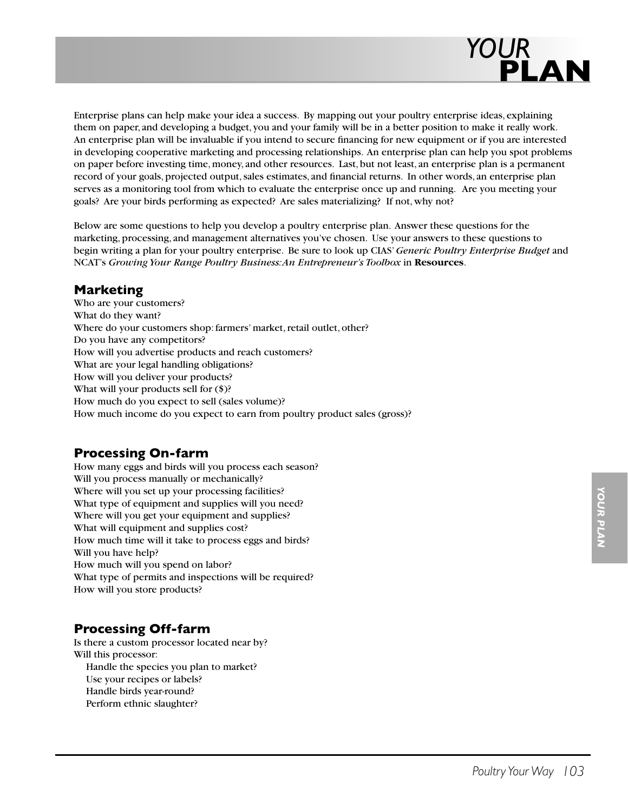

Enterprise plans can help make your idea a success. By mapping out your poultry enterprise ideas, explaining them on paper, and developing a budget, you and your family will be in a better position to make it really work. An enterprise plan will be invaluable if you intend to secure financing for new equipment or if you are interested in developing cooperative marketing and processing relationships. An enterprise plan can help you spot problems on paper before investing time, money, and other resources. Last, but not least, an enterprise plan is a permanent record of your goals, projected output, sales estimates, and financial returns. In other words, an enterprise plan serves as a monitoring tool from which to evaluate the enterprise once up and running. Are you meeting your goals? Are your birds performing as expected? Are sales materializing? If not, why not?

Below are some questions to help you develop a poultry enterprise plan. Answer these questions for the marketing, processing, and management alternatives you've chosen. Use your answers to these questions to begin writing a plan for your poultry enterprise. Be sure to look up CIAS' *Generic Poultry Enterprise Budget* and NCAT's *Growing Your Range Poultry Business: An Entrepreneur's Toolbox* in **Resources**.

#### **Marketing**

Who are your customers? What do they want? Where do your customers shop: farmers' market, retail outlet, other? Do you have any competitors? How will you advertise products and reach customers? What are your legal handling obligations? How will you deliver your products? What will your products sell for (\$)? How much do you expect to sell (sales volume)? How much income do you expect to earn from poultry product sales (gross)?

### **Processing On-farm**

How many eggs and birds will you process each season? Will you process manually or mechanically? Where will you set up your processing facilities? What type of equipment and supplies will you need? Where will you get your equipment and supplies? What will equipment and supplies cost? How much time will it take to process eggs and birds? Will you have help? How much will you spend on labor? What type of permits and inspections will be required? How will you store products?

### **Processing Off-farm**

Is there a custom processor located near by? Will this processor: Handle the species you plan to market? Use your recipes or labels? Handle birds year-round? Perform ethnic slaughter?